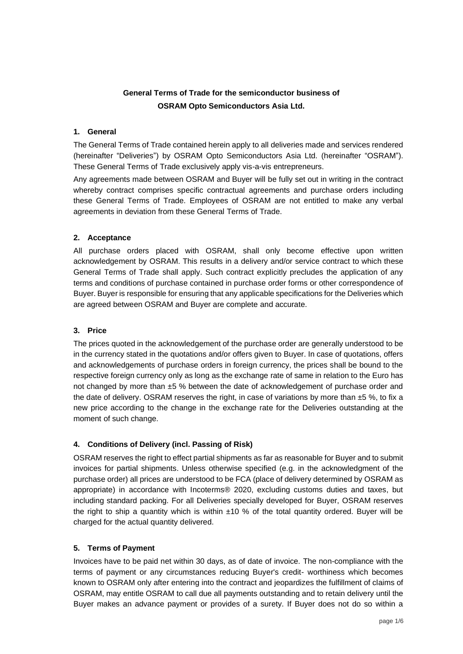# **General Terms of Trade for the semiconductor business of OSRAM Opto Semiconductors Asia Ltd.**

### **1. General**

The General Terms of Trade contained herein apply to all deliveries made and services rendered (hereinafter "Deliveries") by OSRAM Opto Semiconductors Asia Ltd. (hereinafter "OSRAM"). These General Terms of Trade exclusively apply vis-a-vis entrepreneurs.

Any agreements made between OSRAM and Buyer will be fully set out in writing in the contract whereby contract comprises specific contractual agreements and purchase orders including these General Terms of Trade. Employees of OSRAM are not entitled to make any verbal agreements in deviation from these General Terms of Trade.

## **2. Acceptance**

All purchase orders placed with OSRAM, shall only become effective upon written acknowledgement by OSRAM. This results in a delivery and/or service contract to which these General Terms of Trade shall apply. Such contract explicitly precludes the application of any terms and conditions of purchase contained in purchase order forms or other correspondence of Buyer. Buyer is responsible for ensuring that any applicable specifications for the Deliveries which are agreed between OSRAM and Buyer are complete and accurate.

# **3. Price**

The prices quoted in the acknowledgement of the purchase order are generally understood to be in the currency stated in the quotations and/or offers given to Buyer. In case of quotations, offers and acknowledgements of purchase orders in foreign currency, the prices shall be bound to the respective foreign currency only as long as the exchange rate of same in relation to the Euro has not changed by more than ±5 % between the date of acknowledgement of purchase order and the date of delivery. OSRAM reserves the right, in case of variations by more than  $±5$  %, to fix a new price according to the change in the exchange rate for the Deliveries outstanding at the moment of such change.

# **4. Conditions of Delivery (incl. Passing of Risk)**

OSRAM reserves the right to effect partial shipments as far as reasonable for Buyer and to submit invoices for partial shipments. Unless otherwise specified (e.g. in the acknowledgment of the purchase order) all prices are understood to be FCA (place of delivery determined by OSRAM as appropriate) in accordance with Incoterms® 2020, excluding customs duties and taxes, but including standard packing. For all Deliveries specially developed for Buyer, OSRAM reserves the right to ship a quantity which is within  $\pm 10$  % of the total quantity ordered. Buyer will be charged for the actual quantity delivered.

# **5. Terms of Payment**

Invoices have to be paid net within 30 days, as of date of invoice. The non-compliance with the terms of payment or any circumstances reducing Buyer's credit- worthiness which becomes known to OSRAM only after entering into the contract and jeopardizes the fulfillment of claims of OSRAM, may entitle OSRAM to call due all payments outstanding and to retain delivery until the Buyer makes an advance payment or provides of a surety. If Buyer does not do so within a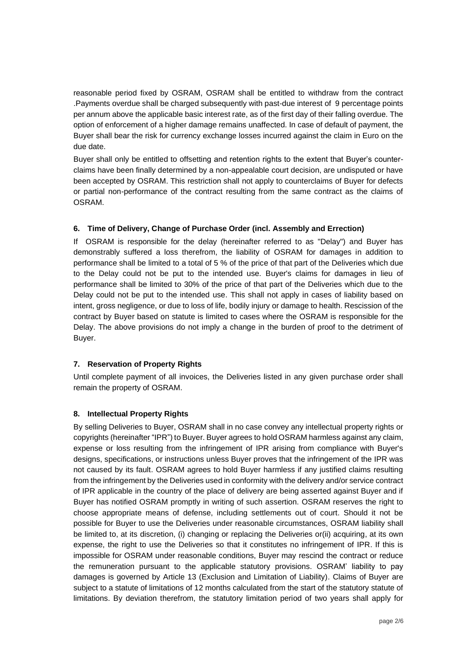reasonable period fixed by OSRAM, OSRAM shall be entitled to withdraw from the contract .Payments overdue shall be charged subsequently with past-due interest of 9 percentage points per annum above the applicable basic interest rate, as of the first day of their falling overdue. The option of enforcement of a higher damage remains unaffected. In case of default of payment, the Buyer shall bear the risk for currency exchange losses incurred against the claim in Euro on the due date.

Buyer shall only be entitled to offsetting and retention rights to the extent that Buyer's counterclaims have been finally determined by a non-appealable court decision, are undisputed or have been accepted by OSRAM. This restriction shall not apply to counterclaims of Buyer for defects or partial non-performance of the contract resulting from the same contract as the claims of OSRAM.

# **6. Time of Delivery, Change of Purchase Order (incl. Assembly and Errection)**

If OSRAM is responsible for the delay (hereinafter referred to as "Delay") and Buyer has demonstrably suffered a loss therefrom, the liability of OSRAM for damages in addition to performance shall be limited to a total of 5 % of the price of that part of the Deliveries which due to the Delay could not be put to the intended use. Buyer's claims for damages in lieu of performance shall be limited to 30% of the price of that part of the Deliveries which due to the Delay could not be put to the intended use. This shall not apply in cases of liability based on intent, gross negligence, or due to loss of life, bodily injury or damage to health. Rescission of the contract by Buyer based on statute is limited to cases where the OSRAM is responsible for the Delay. The above provisions do not imply a change in the burden of proof to the detriment of Buyer.

#### **7. Reservation of Property Rights**

Until complete payment of all invoices, the Deliveries listed in any given purchase order shall remain the property of OSRAM.

#### **8. Intellectual Property Rights**

By selling Deliveries to Buyer, OSRAM shall in no case convey any intellectual property rights or copyrights (hereinafter "IPR") to Buyer. Buyer agrees to hold OSRAM harmless against any claim, expense or loss resulting from the infringement of IPR arising from compliance with Buyer's designs, specifications, or instructions unless Buyer proves that the infringement of the IPR was not caused by its fault. OSRAM agrees to hold Buyer harmless if any justified claims resulting from the infringement by the Deliveries used in conformity with the delivery and/or service contract of IPR applicable in the country of the place of delivery are being asserted against Buyer and if Buyer has notified OSRAM promptly in writing of such assertion. OSRAM reserves the right to choose appropriate means of defense, including settlements out of court. Should it not be possible for Buyer to use the Deliveries under reasonable circumstances, OSRAM liability shall be limited to, at its discretion, (i) changing or replacing the Deliveries or(ii) acquiring, at its own expense, the right to use the Deliveries so that it constitutes no infringement of IPR. If this is impossible for OSRAM under reasonable conditions, Buyer may rescind the contract or reduce the remuneration pursuant to the applicable statutory provisions. OSRAM' liability to pay damages is governed by Article 13 (Exclusion and Limitation of Liability). Claims of Buyer are subject to a statute of limitations of 12 months calculated from the start of the statutory statute of limitations. By deviation therefrom, the statutory limitation period of two years shall apply for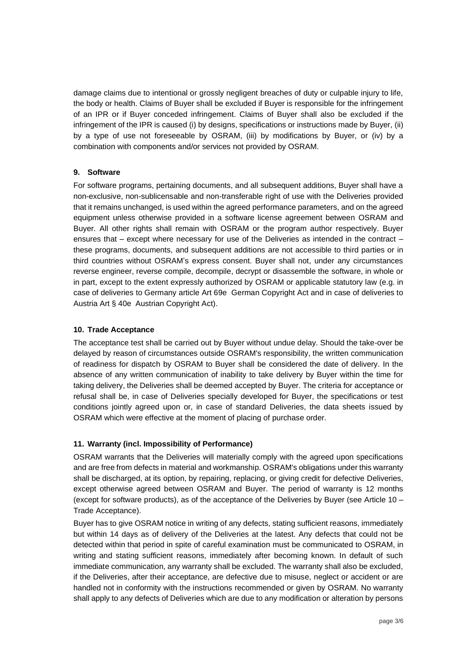damage claims due to intentional or grossly negligent breaches of duty or culpable injury to life, the body or health. Claims of Buyer shall be excluded if Buyer is responsible for the infringement of an IPR or if Buyer conceded infringement. Claims of Buyer shall also be excluded if the infringement of the IPR is caused (i) by designs, specifications or instructions made by Buyer, (ii) by a type of use not foreseeable by OSRAM, (iii) by modifications by Buyer, or (iv) by a combination with components and/or services not provided by OSRAM.

## **9. Software**

For software programs, pertaining documents, and all subsequent additions, Buyer shall have a non-exclusive, non-sublicensable and non-transferable right of use with the Deliveries provided that it remains unchanged, is used within the agreed performance parameters, and on the agreed equipment unless otherwise provided in a software license agreement between OSRAM and Buyer. All other rights shall remain with OSRAM or the program author respectively. Buyer ensures that – except where necessary for use of the Deliveries as intended in the contract – these programs, documents, and subsequent additions are not accessible to third parties or in third countries without OSRAM's express consent. Buyer shall not, under any circumstances reverse engineer, reverse compile, decompile, decrypt or disassemble the software, in whole or in part, except to the extent expressly authorized by OSRAM or applicable statutory law (e.g. in case of deliveries to Germany article Art 69e German Copyright Act and in case of deliveries to Austria Art § 40e Austrian Copyright Act).

### **10. Trade Acceptance**

The acceptance test shall be carried out by Buyer without undue delay. Should the take-over be delayed by reason of circumstances outside OSRAM's responsibility, the written communication of readiness for dispatch by OSRAM to Buyer shall be considered the date of delivery. In the absence of any written communication of inability to take delivery by Buyer within the time for taking delivery, the Deliveries shall be deemed accepted by Buyer. The criteria for acceptance or refusal shall be, in case of Deliveries specially developed for Buyer, the specifications or test conditions jointly agreed upon or, in case of standard Deliveries, the data sheets issued by OSRAM which were effective at the moment of placing of purchase order.

# **11. Warranty (incl. Impossibility of Performance)**

OSRAM warrants that the Deliveries will materially comply with the agreed upon specifications and are free from defects in material and workmanship. OSRAM's obligations under this warranty shall be discharged, at its option, by repairing, replacing, or giving credit for defective Deliveries, except otherwise agreed between OSRAM and Buyer. The period of warranty is 12 months (except for software products), as of the acceptance of the Deliveries by Buyer (see Article 10 – Trade Acceptance).

Buyer has to give OSRAM notice in writing of any defects, stating sufficient reasons, immediately but within 14 days as of delivery of the Deliveries at the latest. Any defects that could not be detected within that period in spite of careful examination must be communicated to OSRAM, in writing and stating sufficient reasons, immediately after becoming known. In default of such immediate communication, any warranty shall be excluded. The warranty shall also be excluded, if the Deliveries, after their acceptance, are defective due to misuse, neglect or accident or are handled not in conformity with the instructions recommended or given by OSRAM. No warranty shall apply to any defects of Deliveries which are due to any modification or alteration by persons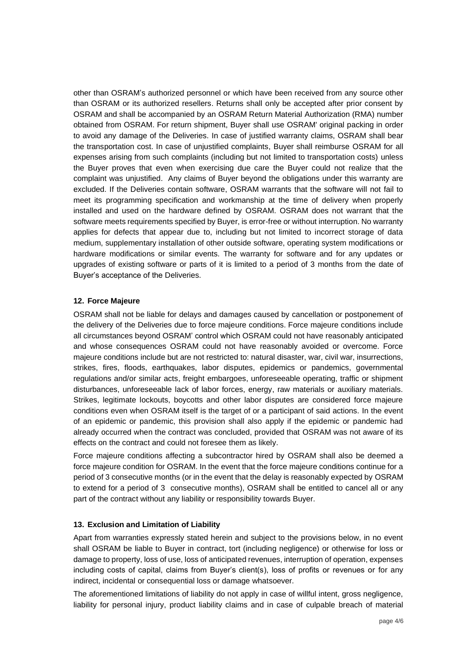other than OSRAM's authorized personnel or which have been received from any source other than OSRAM or its authorized resellers. Returns shall only be accepted after prior consent by OSRAM and shall be accompanied by an OSRAM Return Material Authorization (RMA) number obtained from OSRAM. For return shipment, Buyer shall use OSRAM' original packing in order to avoid any damage of the Deliveries. In case of justified warranty claims, OSRAM shall bear the transportation cost. In case of unjustified complaints, Buyer shall reimburse OSRAM for all expenses arising from such complaints (including but not limited to transportation costs) unless the Buyer proves that even when exercising due care the Buyer could not realize that the complaint was unjustified. Any claims of Buyer beyond the obligations under this warranty are excluded. If the Deliveries contain software, OSRAM warrants that the software will not fail to meet its programming specification and workmanship at the time of delivery when properly installed and used on the hardware defined by OSRAM. OSRAM does not warrant that the software meets requirements specified by Buyer, is error-free or without interruption. No warranty applies for defects that appear due to, including but not limited to incorrect storage of data medium, supplementary installation of other outside software, operating system modifications or hardware modifications or similar events. The warranty for software and for any updates or upgrades of existing software or parts of it is limited to a period of 3 months from the date of Buyer's acceptance of the Deliveries.

## **12. Force Majeure**

OSRAM shall not be liable for delays and damages caused by cancellation or postponement of the delivery of the Deliveries due to force majeure conditions. Force majeure conditions include all circumstances beyond OSRAM' control which OSRAM could not have reasonably anticipated and whose consequences OSRAM could not have reasonably avoided or overcome. Force majeure conditions include but are not restricted to: natural disaster, war, civil war, insurrections, strikes, fires, floods, earthquakes, labor disputes, epidemics or pandemics, governmental regulations and/or similar acts, freight embargoes, unforeseeable operating, traffic or shipment disturbances, unforeseeable lack of labor forces, energy, raw materials or auxiliary materials. Strikes, legitimate lockouts, boycotts and other labor disputes are considered force majeure conditions even when OSRAM itself is the target of or a participant of said actions. In the event of an epidemic or pandemic, this provision shall also apply if the epidemic or pandemic had already occurred when the contract was concluded, provided that OSRAM was not aware of its effects on the contract and could not foresee them as likely.

Force majeure conditions affecting a subcontractor hired by OSRAM shall also be deemed a force majeure condition for OSRAM. In the event that the force majeure conditions continue for a period of 3 consecutive months (or in the event that the delay is reasonably expected by OSRAM to extend for a period of 3 consecutive months), OSRAM shall be entitled to cancel all or any part of the contract without any liability or responsibility towards Buyer.

#### **13. Exclusion and Limitation of Liability**

Apart from warranties expressly stated herein and subject to the provisions below, in no event shall OSRAM be liable to Buyer in contract, tort (including negligence) or otherwise for loss or damage to property, loss of use, loss of anticipated revenues, interruption of operation, expenses including costs of capital, claims from Buyer's client(s), loss of profits or revenues or for any indirect, incidental or consequential loss or damage whatsoever.

The aforementioned limitations of liability do not apply in case of willful intent, gross negligence, liability for personal injury, product liability claims and in case of culpable breach of material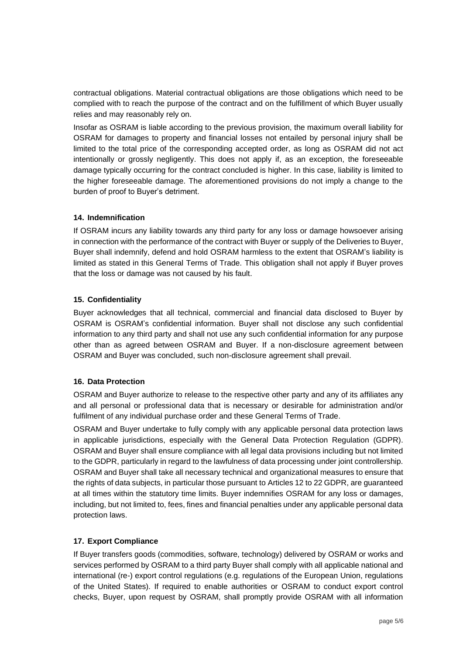contractual obligations. Material contractual obligations are those obligations which need to be complied with to reach the purpose of the contract and on the fulfillment of which Buyer usually relies and may reasonably rely on.

Insofar as OSRAM is liable according to the previous provision, the maximum overall liability for OSRAM for damages to property and financial losses not entailed by personal injury shall be limited to the total price of the corresponding accepted order, as long as OSRAM did not act intentionally or grossly negligently. This does not apply if, as an exception, the foreseeable damage typically occurring for the contract concluded is higher. In this case, liability is limited to the higher foreseeable damage. The aforementioned provisions do not imply a change to the burden of proof to Buyer's detriment.

## **14. Indemnification**

If OSRAM incurs any liability towards any third party for any loss or damage howsoever arising in connection with the performance of the contract with Buyer or supply of the Deliveries to Buyer, Buyer shall indemnify, defend and hold OSRAM harmless to the extent that OSRAM's liability is limited as stated in this General Terms of Trade. This obligation shall not apply if Buyer proves that the loss or damage was not caused by his fault.

## **15. Confidentiality**

Buyer acknowledges that all technical, commercial and financial data disclosed to Buyer by OSRAM is OSRAM's confidential information. Buyer shall not disclose any such confidential information to any third party and shall not use any such confidential information for any purpose other than as agreed between OSRAM and Buyer. If a non-disclosure agreement between OSRAM and Buyer was concluded, such non-disclosure agreement shall prevail.

# **16. Data Protection**

OSRAM and Buyer authorize to release to the respective other party and any of its affiliates any and all personal or professional data that is necessary or desirable for administration and/or fulfilment of any individual purchase order and these General Terms of Trade.

OSRAM and Buyer undertake to fully comply with any applicable personal data protection laws in applicable jurisdictions, especially with the General Data Protection Regulation (GDPR). OSRAM and Buyer shall ensure compliance with all legal data provisions including but not limited to the GDPR, particularly in regard to the lawfulness of data processing under joint controllership. OSRAM and Buyer shall take all necessary technical and organizational measures to ensure that the rights of data subjects, in particular those pursuant to Articles 12 to 22 GDPR, are guaranteed at all times within the statutory time limits. Buyer indemnifies OSRAM for any loss or damages, including, but not limited to, fees, fines and financial penalties under any applicable personal data protection laws.

# **17. Export Compliance**

If Buyer transfers goods (commodities, software, technology) delivered by OSRAM or works and services performed by OSRAM to a third party Buyer shall comply with all applicable national and international (re-) export control regulations (e.g. regulations of the European Union, regulations of the United States). If required to enable authorities or OSRAM to conduct export control checks, Buyer, upon request by OSRAM, shall promptly provide OSRAM with all information